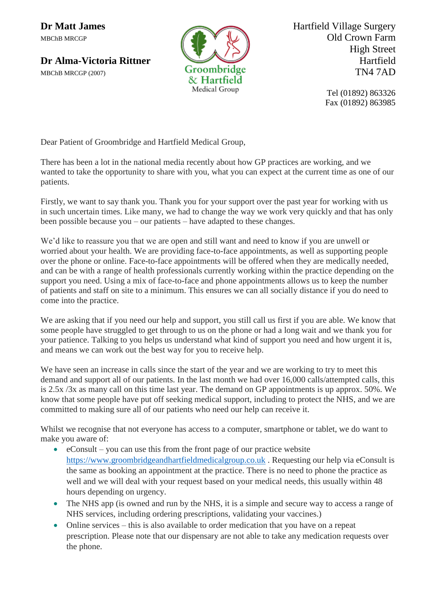

**Dr Matt James** Hartfield Village Surgery MBChB MRCGP **Old Crown Farm** High Street **Dr Alma-Victoria Rittner** Hartfield<br> **Groombridge** TN4 7AD

> Tel (01892) 863326 Fax (01892) 863985

Dear Patient of Groombridge and Hartfield Medical Group,

There has been a lot in the national media recently about how GP practices are working, and we wanted to take the opportunity to share with you, what you can expect at the current time as one of our patients.

Firstly, we want to say thank you. Thank you for your support over the past year for working with us in such uncertain times. Like many, we had to change the way we work very quickly and that has only been possible because you – our patients – have adapted to these changes.

We'd like to reassure you that we are open and still want and need to know if you are unwell or worried about your health. We are providing face-to-face appointments, as well as supporting people over the phone or online. Face-to-face appointments will be offered when they are medically needed, and can be with a range of health professionals currently working within the practice depending on the support you need. Using a mix of face-to-face and phone appointments allows us to keep the number of patients and staff on site to a minimum. This ensures we can all socially distance if you do need to come into the practice.

We are asking that if you need our help and support, you still call us first if you are able. We know that some people have struggled to get through to us on the phone or had a long wait and we thank you for your patience. Talking to you helps us understand what kind of support you need and how urgent it is, and means we can work out the best way for you to receive help.

We have seen an increase in calls since the start of the year and we are working to try to meet this demand and support all of our patients. In the last month we had over 16,000 calls/attempted calls, this is 2.5x /3x as many call on this time last year. The demand on GP appointments is up approx. 50%. We know that some people have put off seeking medical support, including to protect the NHS, and we are committed to making sure all of our patients who need our help can receive it.

Whilst we recognise that not everyone has access to a computer, smartphone or tablet, we do want to make you aware of:

- $\bullet$  eConsult you can use this from the front page of our practice website [https://www.groombridgeandhartfieldmedicalgroup.co.uk](https://www.groombridgeandhartfieldmedicalgroup.co.uk/) . Requesting our help via eConsult is the same as booking an appointment at the practice. There is no need to phone the practice as well and we will deal with your request based on your medical needs, this usually within 48 hours depending on urgency.
- The NHS app (is owned and run by the NHS, it is a simple and secure way to access a range of NHS services, including ordering prescriptions, validating your vaccines.)
- Online services this is also available to order medication that you have on a repeat prescription. Please note that our dispensary are not able to take any medication requests over the phone.